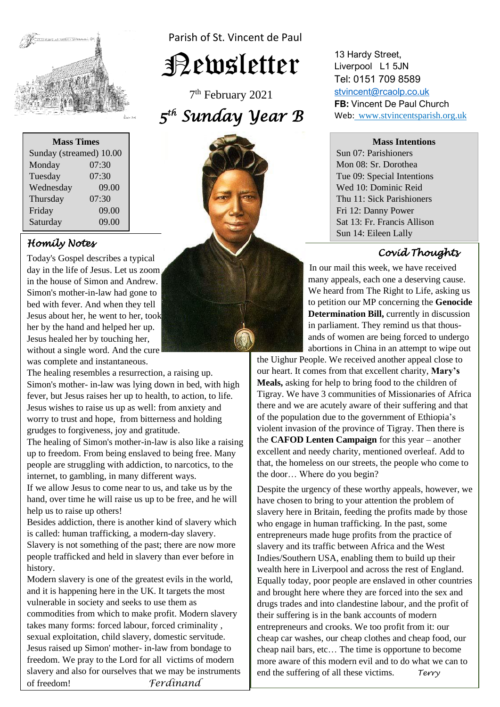

| <b>Mass Times</b>       |       |
|-------------------------|-------|
| Sunday (streamed) 10.00 |       |
| Monday                  | 07:30 |
| Tuesday                 | 07:30 |
| Wednesday               | 09.00 |
| Thursday                | 07:30 |
| Friday                  | 09.00 |
| Saturday                | 09.00 |

# *Homily Notes*

day in the life of Jesus. Let us zoom **Simon's mother-in-law had gone to** without a single word. And the cure Today's Gospel describes a typical in the house of Simon and Andrew. bed with fever. And when they tell Jesus about her, he went to her, took her by the hand and helped her up. Jesus healed her by touching her, was complete and instantaneous.

The healing resembles a resurrection, a raising up. fever, but Jesus raises her up to health, to action, to life. worry to trust and hope, from bitterness a<br>grudges to forgiveness, joy and gratitude. Simon's mother- in-law was lying down in bed, with high Jesus wishes to raise us up as well: from anxiety and worry to trust and hope, from bitterness and holding

I'll is the all all of the and the annual state of the and the annual up to freedom. From being enslaved to being free. Many  internet, to gambling, in many different ways. The healing of Simon's mother-in-law is also like a raising people are struggling with addiction, to narcotics, to the

hand, over time he will raise us up to be free, and he will If we allow Jesus to come near to us, and take us by the help us to raise up others!

**Besides addiction, there is another kind of slavery which is called:** hypne trafficking, a modern day slavery Slavery is not something of the past; there are now more<br>people trafficked and held in slavery than ever before in is called: human trafficking, a modern-day slavery. Slavery is not something of the past; there are now more history.

*Modern slavery is one of the greatest evils in the world,* vulnerable in society and seeks to use them as and it is happening here in the UK. It targets the most commodities from which to make profit. Modern slavery takes many forms: forced labour, forced criminality , sexual exploitation, child slavery, domestic servitude. Jesus raised up Simon' mother- in-law from bondage to freedom. We pray to the Lord for all victims of modern slavery and also for ourselves that we may be instruments of freedom! *Ferdinand*

Parish of St. Vincent de Paul

Newsletter

7 th February 2021 *5 th Sunday Year B* 



13 Hardy Street, Liverpool L1 5JN Tel: 0151 709 8589 [stvincent@rcaolp.co.uk](mailto:stvincent@rcaolp.co.uk) **FB:** Vincent De Paul Church Web: www.stvincentsparish.org.uk

#### **Mass Intentions**

Sun 07: Parishioners Mon 08: Sr. Dorothea Tue 09: Special Intentions Wed 10: Dominic Reid Thu 11: Sick Parishioners Fri 12: Danny Power Sat 13: Fr. Francis Allison Sun 14: Eileen Lally

# *Covid Thoughts*

In our mail this week, we have received many many appeals, each one a deserving cause. We heard from The Right to Life, asking us to petition our MP concerning the **Genocide Determination Bill,** currently in discussion in parliament. They remind us that thous ands of women are being forced to undergo abortions in China in an attempt to wipe out

the Uighur People. We received another appeal close to our heart. It comes from that excellent charity, **Mary's Meals,** asking for help to bring food to the children of Tigray. We have 3 communities of Missionaries of Africa there and we are acutely aware of their suffering and that of the population due to the government of Ethiopia's violent invasion of the province of Tigray. Then there is the **CAFOD Lenten Campaign** for this year – another excellent and needy charity, mentioned overleaf. Add to that, the homeless on our streets, the people who come to the door… Where do you begin?

Despite the urgency of these worthy appeals, however, we have chosen to bring to your attention the problem of slavery here in Britain, feeding the profits made by those who engage in human trafficking. In the past, some entrepreneurs made huge profits from the practice of slavery and its traffic between Africa and the West Indies/Southern USA, enabling them to build up their wealth here in Liverpool and across the rest of England. Equally today, poor people are enslaved in other countries and brought here where they are forced into the sex and drugs trades and into clandestine labour, and the profit of their suffering is in the bank accounts of modern entrepreneurs and crooks. We too profit from it: our cheap car washes, our cheap clothes and cheap food, our cheap nail bars, etc… The time is opportune to become more aware of this modern evil and to do what we can to end the suffering of all these victims. *Terry*